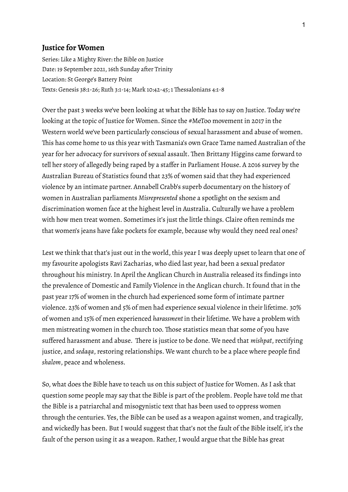# **Justice for Women**

Series: Like a Mighty River: the Bible on Justice Date: 19 September 2021, 16th Sunday after Trinity Location: St George's Battery Point Texts: Genesis 38:1-26; Ruth 3:1-14; Mark 10:42-45; 1 Thessalonians 4:1-8

Over the past 3 weeks we've been looking at what the Bible has to say on Justice. Today we're looking at the topic of Justice for Women. Since the #MeToo movement in 2017 in the Western world we've been particularly conscious of sexual harassment and abuse of women. This has come home to us this year with Tasmania's own Grace Tame named Australian of the year for her advocacy for survivors of sexual assault. Then Brittany Higgins came forward to tell her story of allegedly being raped by a staffer in Parliament House. A 2016 survey by the Australian Bureau of Statistics found that 23% of women said that they had experienced violence by an intimate partner. Annabell Crabb's superb documentary on the history of women in Australian parliaments *Misrepresented* shone a spotlight on the sexism and discrimination women face at the highest level in Australia. Culturally we have a problem with how men treat women. Sometimes it's just the little things. Claire often reminds me that women's jeans have fake pockets for example, because why would they need real ones?

Lest we think that that's just out in the world, this year I was deeply upset to learn that one of my favourite apologists Ravi Zacharias, who died last year, had been a sexual predator throughout his ministry.In April the Anglican Church in Australia released its findings into the prevalence of Domestic and Family Violence in the Anglican church.It found that in the past year 17% of women in the church had experienced some form of intimate partner violence. 23% of women and 5% of men had experience sexual violence in their lifetime. 30% of women and 15% of men experienced *harassment* in their lifetime. We have a problem with men mistreating women in the church too. Those statistics mean that some of you have suffered harassment and abuse. There is justice to be done. We need that *mishpat*, rectifying justice, and *sedaqa*, restoring relationships. We want church to be a place where people find *shalom*, peace and wholeness.

So, what does the Bible have to teach us on this subject of Justice for Women. As I ask that question some people may say that the Bible is part of the problem. People have told me that the Bible is a patriarchal and misogynistic text that has been used to oppress women through the centuries. Yes, the Bible can be used as a weapon against women, and tragically, and wickedly has been. But I would suggest that that's not the fault of the Bible itself, it's the fault of the person using it as a weapon. Rather, I would argue that the Bible has great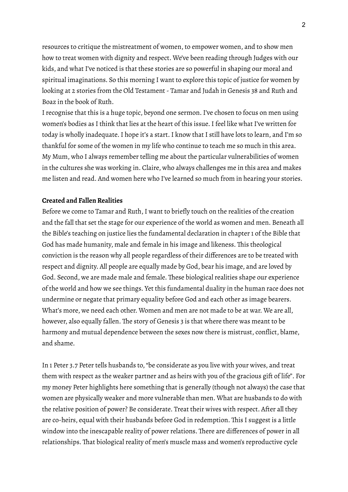resources to critique the mistreatment of women, to empower women, and to show men how to treat women with dignity and respect. We've been reading through Judges with our kids, and what I've noticed is that these stories are so powerful in shaping our moral and spiritual imaginations. So this morning I want to explore this topic of justice for women by looking at 2 stories from the Old Testament- Tamar and Judah in Genesis 38 and Ruth and Boaz in the book of Ruth.

I recognise that this is a huge topic, beyond one sermon.I've chosen to focus on men using women's bodies as I think that lies at the heart of this issue.I feel like what I've written for today is wholly inadequate.I hope it's a start.I know that I still have lots to learn, and I'm so thankful for some of the women in my life who continue to teach me so much in this area. My Mum, who I always remember telling me about the particular vulnerabilities of women in the cultures she was working in. Claire, who always challenges me in this area and makes me listen and read. And women here who I've learned so much from in hearing your stories.

# **Created and Fallen Realities**

Before we come to Tamar and Ruth, I want to briefly touch on the realities of the creation and the fall that set the stage for our experience of the world as women and men. Beneath all the Bible's teaching on justice lies the fundamental declaration in chapter 1 of the Bible that God has made humanity, male and female in his image and likeness. This theological conviction is the reason why all people regardless of their differences are to be treated with respect and dignity. All people are equally made by God, bear his image, and are loved by God. Second, we are made male and female. These biological realities shape our experience of the world and how we see things. Yet this fundamental duality in the human race does not undermine or negate that primary equality before God and each other as image bearers. What's more, we need each other. Women and men are not made to be at war. We are all, however, also equally fallen. The story of Genesis 3 is that where there was meant to be harmony and mutual dependence between the sexes now there is mistrust, conflict, blame, and shame.

In 1 Peter 3.7 Peter tells husbands to,"be considerate as you live with your wives, and treat them with respect as the weaker partner and as heirs with you of the gracious gift of life". For my money Peter highlights here something that is generally (though not always) the case that women are physically weaker and more vulnerable than men. What are husbands to do with the relative position of power? Be considerate. Treat their wives with respect. After all they are co-heirs, equal with their husbands before God in redemption. This I suggest is a little window into the inescapable reality of power relations. There are differences of power in all relationships. That biological reality of men's muscle mass and women's reproductive cycle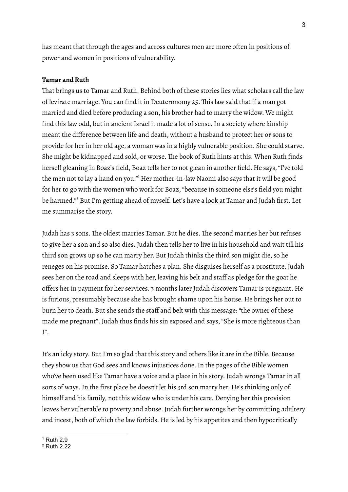has meant that through the ages and across cultures men are more often in positions of power and women in positions of vulnerability.

### **Tamar and Ruth**

That brings us to Tamar and Ruth. Behind both of these stories lies what scholars call the law of levirate marriage. You can find it in Deuteronomy 25. This law said that if a man got married and died before producing a son, his brother had to marry the widow. We might find this law odd, but in ancient Israel it made a lot of sense. In a society where kinship meant the difference between life and death, without a husband to protect her or sons to provide for her in her old age, a woman was in a highly vulnerable position. She could starve. She might be kidnapped and sold, or worse. The book of Ruth hints at this. When Ruth finds herself gleaning in Boaz's field, Boaz tells her to not glean in another field. He says, "I've told the men not to lay a hand on you."<sup>1</sup> Her mother-in-law Naomi also says that it will be good for her to go with the women who work for Boaz,"because in someone else's field you might be harmed." <sup>2</sup> But I'm getting ahead of myself. Let's have a look at Tamar and Judah first. Let me summarise the story.

Judah has 3 sons. The oldest marries Tamar. But he dies. The second marries her but refuses to give her a son and so also dies. Judah then tells her to live in his household and wait till his third son grows up so he can marry her. But Judah thinks the third son might die, so he reneges on his promise. So Tamar hatches a plan. She disguises herself as a prostitute. Judah sees her on the road and sleeps with her, leaving his belt and staff as pledge for the goat he offers her in payment for her services. 3 months later Judah discovers Tamar is pregnant. He is furious, presumably because she has brought shame upon his house. He brings her out to burn her to death. But she sends the staff and belt with this message: "the owner of these made me pregnant". Judah thus finds his sin exposed and says,"She is more righteous than I".

It's an icky story. But I'm so glad that this story and others like it are in the Bible. Because they show us that God sees and knows injustices done.In the pages of the Bible women who've been used like Tamar have a voice and a place in his story. Judah wrongs Tamar in all sorts of ways. In the first place he doesn't let his 3rd son marry her. He's thinking only of himself and his family, not this widow who is under his care. Denying her this provision leaves her vulnerable to poverty and abuse. Judah further wrongs her by committing adultery and incest, both of which the law forbids. He is led by his appetites and then hypocritically

 $1$  Ruth 2.9

<sup>2</sup> Ruth 2.22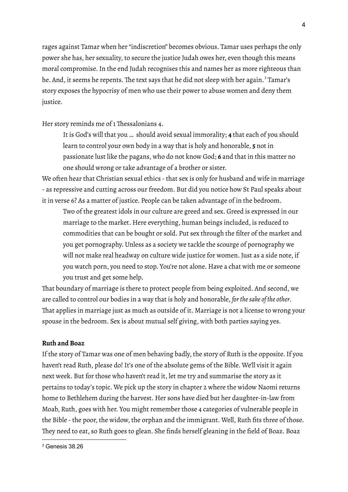rages against Tamar when her"indiscretion" becomes obvious. Tamar uses perhaps the only power she has, her sexuality, to secure the justice Judah owes her, even though this means moral compromise.In the end Judah recognises this and names her as more righteous than he. And, it seems he repents. The text says that he did not sleep with her again. <sup>3</sup> Tamar's story exposes the hypocrisy of men who use their power to abuse women and deny them justice.

Her story reminds me of 1 Thessalonians 4.

It is God's will that you … should avoid sexual immorality; **4** that each of you should learn to control your own body in a way that is holy and honorable, **5** not in passionate lust like the pagans, who do not know God; **6** and that in this matter no one should wrong or take advantage of a brother or sister.

We often hear that Christian sexual ethics - that sex is only for husband and wife in marriage - as repressive and cutting across our freedom. But did you notice how St Paul speaks about it in verse 6? As a matter of justice. People can be taken advantage of in the bedroom.

Two of the greatest idols in our culture are greed and sex. Greed is expressed in our marriage to the market. Here everything, human beings included, is reduced to commodities that can be bought or sold. Put sex through the filter of the market and you get pornography. Unless as a society we tackle the scourge of pornography we will not make real headway on culture wide justice for women. Just as a side note, if you watch porn, you need to stop. You're not alone. Have a chat with me or someone you trust and get some help.

That boundary of marriage is there to protect people from being exploited. And second, we are called to control our bodies in a way that is holy and honorable, *forthesake of the other*. That applies in marriage just as much as outside of it. Marriage is not a license to wrong your spouse in the bedroom. Sex is about mutual self giving, with both parties saying yes.

# **Ruth and Boaz**

If the story of Tamar was one of men behaving badly, the story of Ruth is the opposite.If you haven't read Ruth, please do! It's one of the absolute gems of the Bible. We'll visit it again next week. But for those who haven't read it, let me try and summarise the story as it pertains to today's topic. We pick up the story in chapter 2 where the widow Naomi returns home to Bethlehem during the harvest. Her sons have died but her daughter-in-law from Moab, Ruth, goes with her. You might remember those 4 categories of vulnerable people in the Bible - the poor, the widow, the orphan and the immigrant. Well, Ruth fits three of those. They need to eat, so Ruth goes to glean. She finds herself gleaning in the field of Boaz. Boaz

4

<sup>3</sup> Genesis 38.26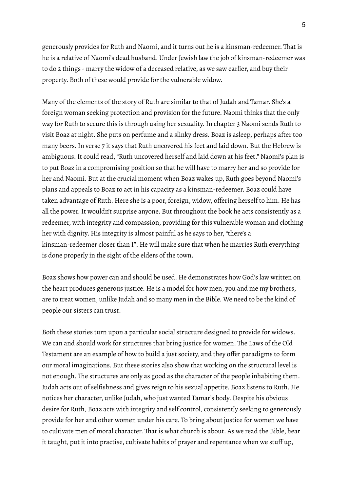generously provides for Ruth and Naomi, and it turns out he is a kinsman-redeemer. That is he is a relative of Naomi's dead husband. Under Jewish law the job of kinsman-redeemer was to do 2 things - marry the widow of a deceased relative, as we saw earlier, and buy their property. Both of these would provide for the vulnerable widow.

Many of the elements of the story of Ruth are similar to that of Judah and Tamar. She's a foreign woman seeking protection and provision for the future. Naomi thinks that the only way for Ruth to secure this is through using her sexuality.In chapter 3 Naomi sends Ruth to visit Boaz at night. She puts on perfume and a slinky dress. Boaz is asleep, perhaps after too many beers.In verse 7 it says that Ruth uncovered his feet and laid down. But the Hebrew is ambiguous. It could read, "Ruth uncovered herself and laid down at his feet." Naomi's plan is to put Boaz in a compromising position so that he will have to marry her and so provide for her and Naomi. But at the crucial moment when Boaz wakes up, Ruth goes beyond Naomi's plans and appeals to Boaz to act in his capacity as a kinsman-redeemer. Boaz could have taken advantage of Ruth. Here she is a poor, foreign, widow, offering herself to him. He has all the power. It wouldn't surprise anyone. But throughout the book he acts consistently as a redeemer, with integrity and compassion, providing for this vulnerable woman and clothing her with dignity. His integrity is almost painful as he says to her, "there's a kinsman-redeemer closer than I". He will make sure that when he marries Ruth everything is done properly in the sight of the elders of the town.

Boaz shows how power can and should be used. He demonstrates how God's law written on the heart produces generous justice. He is a model for how men, you and me my brothers, are to treat women, unlike Judah and so many men in the Bible. We need to be the kind of people our sisters can trust.

Both these stories turn upon a particular social structure designed to provide for widows. We can and should work for structures that bring justice for women. The Laws of the Old Testament are an example of how to build a just society, and they offer paradigms to form our moral imaginations. But these stories also show that working on the structural level is not enough. The structures are only as good as the character of the people inhabiting them. Judah acts out of selfishness and gives reign to his sexual appetite. Boaz listens to Ruth. He notices her character, unlike Judah, who just wanted Tamar's body. Despite his obvious desire for Ruth, Boaz acts with integrity and self control, consistently seeking to generously provide for her and other women under his care. To bring about justice for women we have to cultivate men of moral character. That is what church is about. As we read the Bible, hear it taught, put it into practise, cultivate habits of prayer and repentance when we stuff up,